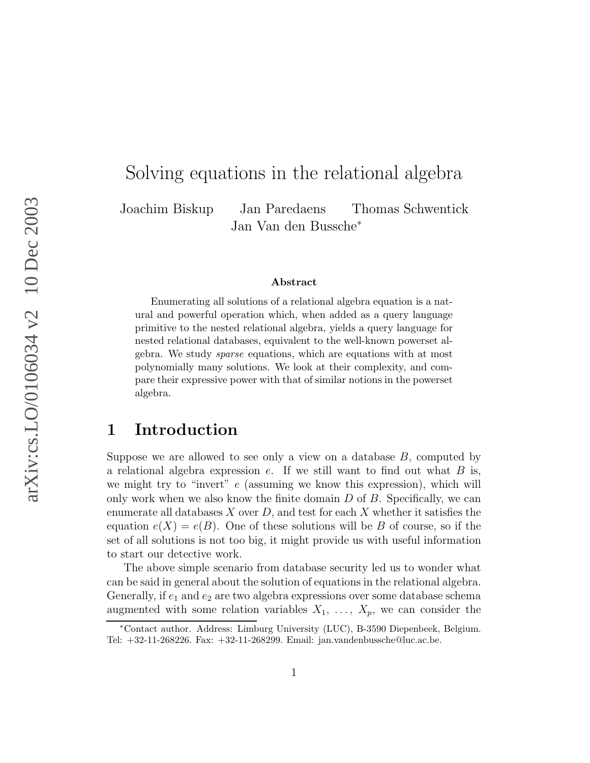## Solving equations in the relational algebra

Joachim Biskup Jan Paredaens Thomas Schwentick Jan Van den Bussche<sup>∗</sup>

#### Abstract

Enumerating all solutions of a relational algebra equation is a natural and powerful operation which, when added as a query language primitive to the nested relational algebra, yields a query language for nested relational databases, equivalent to the well-known powerset algebra. We study sparse equations, which are equations with at most polynomially many solutions. We look at their complexity, and compare their expressive power with that of similar notions in the powerset algebra.

### 1 Introduction

Suppose we are allowed to see only a view on a database  $B$ , computed by a relational algebra expression  $e$ . If we still want to find out what  $B$  is, we might try to "invert"  $e$  (assuming we know this expression), which will only work when we also know the finite domain  $D$  of  $B$ . Specifically, we can enumerate all databases  $X$  over  $D$ , and test for each  $X$  whether it satisfies the equation  $e(X) = e(B)$ . One of these solutions will be B of course, so if the set of all solutions is not too big, it might provide us with useful information to start our detective work.

The above simple scenario from database security led us to wonder what can be said in general about the solution of equations in the relational algebra. Generally, if  $e_1$  and  $e_2$  are two algebra expressions over some database schema augmented with some relation variables  $X_1, \ldots, X_p$ , we can consider the

<sup>∗</sup>Contact author. Address: Limburg University (LUC), B-3590 Diepenbeek, Belgium. Tel: +32-11-268226. Fax: +32-11-268299. Email: jan.vandenbussche@luc.ac.be.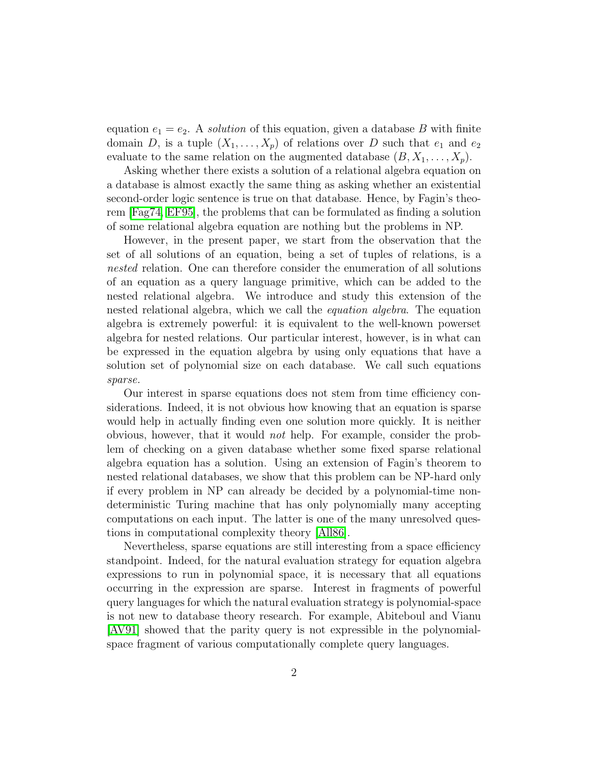equation  $e_1 = e_2$ . A *solution* of this equation, given a database B with finite domain D, is a tuple  $(X_1, \ldots, X_p)$  of relations over D such that  $e_1$  and  $e_2$ evaluate to the same relation on the augmented database  $(B, X_1, \ldots, X_p)$ .

Asking whether there exists a solution of a relational algebra equation on a database is almost exactly the same thing as asking whether an existential second-order logic sentence is true on that database. Hence, by Fagin's theorem [\[Fag74,](#page-20-0) [EF95\]](#page-20-1), the problems that can be formulated as finding a solution of some relational algebra equation are nothing but the problems in NP.

However, in the present paper, we start from the observation that the set of all solutions of an equation, being a set of tuples of relations, is a nested relation. One can therefore consider the enumeration of all solutions of an equation as a query language primitive, which can be added to the nested relational algebra. We introduce and study this extension of the nested relational algebra, which we call the equation algebra. The equation algebra is extremely powerful: it is equivalent to the well-known powerset algebra for nested relations. Our particular interest, however, is in what can be expressed in the equation algebra by using only equations that have a solution set of polynomial size on each database. We call such equations sparse.

Our interest in sparse equations does not stem from time efficiency considerations. Indeed, it is not obvious how knowing that an equation is sparse would help in actually finding even one solution more quickly. It is neither obvious, however, that it would not help. For example, consider the problem of checking on a given database whether some fixed sparse relational algebra equation has a solution. Using an extension of Fagin's theorem to nested relational databases, we show that this problem can be NP-hard only if every problem in NP can already be decided by a polynomial-time nondeterministic Turing machine that has only polynomially many accepting computations on each input. The latter is one of the many unresolved questions in computational complexity theory [\[All86\]](#page-20-2).

Nevertheless, sparse equations are still interesting from a space efficiency standpoint. Indeed, for the natural evaluation strategy for equation algebra expressions to run in polynomial space, it is necessary that all equations occurring in the expression are sparse. Interest in fragments of powerful query languages for which the natural evaluation strategy is polynomial-space is not new to database theory research. For example, Abiteboul and Vianu [\[AV91\]](#page-20-3) showed that the parity query is not expressible in the polynomialspace fragment of various computationally complete query languages.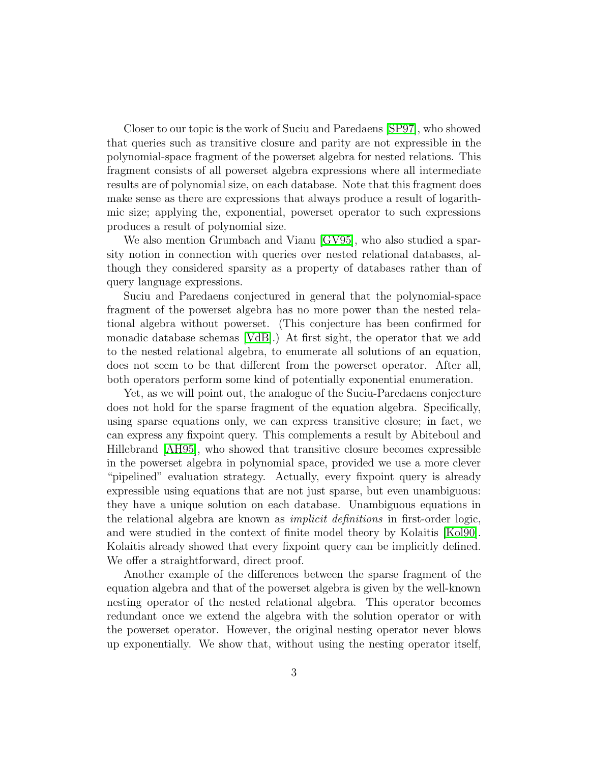Closer to our topic is the work of Suciu and Paredaens [\[SP97\]](#page-21-0), who showed that queries such as transitive closure and parity are not expressible in the polynomial-space fragment of the powerset algebra for nested relations. This fragment consists of all powerset algebra expressions where all intermediate results are of polynomial size, on each database. Note that this fragment does make sense as there are expressions that always produce a result of logarithmic size; applying the, exponential, powerset operator to such expressions produces a result of polynomial size.

We also mention Grumbach and Vianu [\[GV95\]](#page-21-1), who also studied a sparsity notion in connection with queries over nested relational databases, although they considered sparsity as a property of databases rather than of query language expressions.

Suciu and Paredaens conjectured in general that the polynomial-space fragment of the powerset algebra has no more power than the nested relational algebra without powerset. (This conjecture has been confirmed for monadic database schemas [\[VdB\]](#page-21-2).) At first sight, the operator that we add to the nested relational algebra, to enumerate all solutions of an equation, does not seem to be that different from the powerset operator. After all, both operators perform some kind of potentially exponential enumeration.

Yet, as we will point out, the analogue of the Suciu-Paredaens conjecture does not hold for the sparse fragment of the equation algebra. Specifically, using sparse equations only, we can express transitive closure; in fact, we can express any fixpoint query. This complements a result by Abiteboul and Hillebrand [\[AH95\]](#page-20-4), who showed that transitive closure becomes expressible in the powerset algebra in polynomial space, provided we use a more clever "pipelined" evaluation strategy. Actually, every fixpoint query is already expressible using equations that are not just sparse, but even unambiguous: they have a unique solution on each database. Unambiguous equations in the relational algebra are known as implicit definitions in first-order logic, and were studied in the context of finite model theory by Kolaitis [\[Kol90\]](#page-21-3). Kolaitis already showed that every fixpoint query can be implicitly defined. We offer a straightforward, direct proof.

Another example of the differences between the sparse fragment of the equation algebra and that of the powerset algebra is given by the well-known nesting operator of the nested relational algebra. This operator becomes redundant once we extend the algebra with the solution operator or with the powerset operator. However, the original nesting operator never blows up exponentially. We show that, without using the nesting operator itself,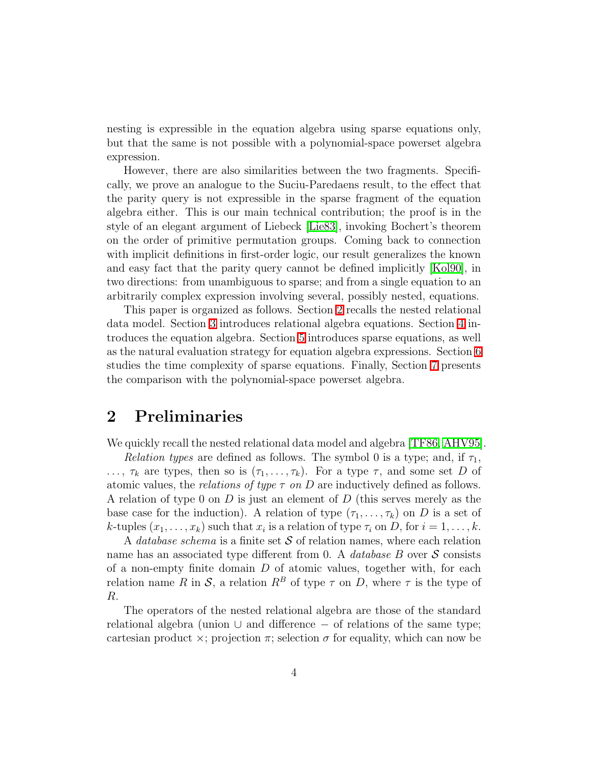nesting is expressible in the equation algebra using sparse equations only, but that the same is not possible with a polynomial-space powerset algebra expression.

However, there are also similarities between the two fragments. Specifically, we prove an analogue to the Suciu-Paredaens result, to the effect that the parity query is not expressible in the sparse fragment of the equation algebra either. This is our main technical contribution; the proof is in the style of an elegant argument of Liebeck [\[Lie83\]](#page-21-4), invoking Bochert's theorem on the order of primitive permutation groups. Coming back to connection with implicit definitions in first-order logic, our result generalizes the known and easy fact that the parity query cannot be defined implicitly [\[Kol90\]](#page-21-3), in two directions: from unambiguous to sparse; and from a single equation to an arbitrarily complex expression involving several, possibly nested, equations.

This paper is organized as follows. Section [2](#page-3-0) recalls the nested relational data model. Section [3](#page-4-0) introduces relational algebra equations. Section [4](#page-5-0) introduces the equation algebra. Section [5](#page-8-0) introduces sparse equations, as well as the natural evaluation strategy for equation algebra expressions. Section [6](#page-10-0) studies the time complexity of sparse equations. Finally, Section [7](#page-13-0) presents the comparison with the polynomial-space powerset algebra.

### <span id="page-3-0"></span>2 Preliminaries

We quickly recall the nested relational data model and algebra [\[TF86,](#page-21-5) [AHV95\]](#page-20-5).

Relation types are defined as follows. The symbol 0 is a type; and, if  $\tau_1$ ,  $\ldots, \tau_k$  are types, then so is  $(\tau_1, \ldots, \tau_k)$ . For a type  $\tau$ , and some set D of atomic values, the *relations of type*  $\tau$  *on*  $D$  are inductively defined as follows. A relation of type 0 on  $D$  is just an element of  $D$  (this serves merely as the base case for the induction). A relation of type  $(\tau_1, \ldots, \tau_k)$  on D is a set of k-tuples  $(x_1, \ldots, x_k)$  such that  $x_i$  is a relation of type  $\tau_i$  on D, for  $i = 1, \ldots, k$ .

A *database schema* is a finite set S of relation names, where each relation name has an associated type different from 0. A *database B* over  $S$  consists of a non-empty finite domain  $D$  of atomic values, together with, for each relation name R in S, a relation  $R^B$  of type  $\tau$  on D, where  $\tau$  is the type of R.

The operators of the nested relational algebra are those of the standard relational algebra (union ∪ and difference − of relations of the same type; cartesian product  $\times$ ; projection  $\pi$ ; selection  $\sigma$  for equality, which can now be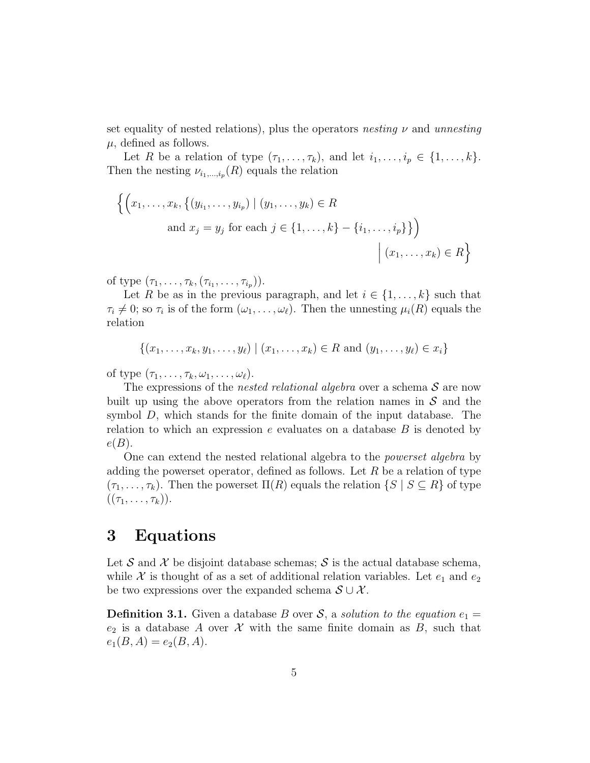set equality of nested relations), plus the operators nesting  $\nu$  and unnesting  $\mu$ , defined as follows.

Let R be a relation of type  $(\tau_1, \ldots, \tau_k)$ , and let  $i_1, \ldots, i_p \in \{1, \ldots, k\}$ . Then the nesting  $\nu_{i_1,\dots,i_p}(R)$  equals the relation

$$
\left\{ \left( x_1, \ldots, x_k, \left\{ (y_{i_1}, \ldots, y_{i_p}) \mid (y_1, \ldots, y_k) \in R \right. \right. \\ \text{and } x_j = y_j \text{ for each } j \in \{1, \ldots, k\} - \{i_1, \ldots, i_p\} \} \right) \right\}
$$
\n
$$
\left| (x_1, \ldots, x_k) \in R \right\}
$$

of type  $(\tau_1, ..., \tau_k, (\tau_{i_1}, ..., \tau_{i_p})).$ 

Let R be as in the previous paragraph, and let  $i \in \{1, ..., k\}$  such that  $\tau_i \neq 0$ ; so  $\tau_i$  is of the form  $(\omega_1, \ldots, \omega_\ell)$ . Then the unnesting  $\mu_i(R)$  equals the relation

 $\{(x_1, \ldots, x_k, y_1, \ldots, y_\ell) \mid (x_1, \ldots, x_k) \in R \text{ and } (y_1, \ldots, y_\ell) \in x_i\}$ 

of type  $(\tau_1, \ldots, \tau_k, \omega_1, \ldots, \omega_\ell)$ .

The expressions of the *nested relational algebra* over a schema  $S$  are now built up using the above operators from the relation names in  $S$  and the symbol  $D$ , which stands for the finite domain of the input database. The relation to which an expression  $e$  evaluates on a database  $B$  is denoted by  $e(B)$ .

One can extend the nested relational algebra to the powerset algebra by adding the powerset operator, defined as follows. Let  $R$  be a relation of type  $(\tau_1, \ldots, \tau_k)$ . Then the powerset  $\Pi(R)$  equals the relation  $\{S \mid S \subseteq R\}$  of type  $((\tau_1,\ldots,\tau_k)).$ 

### <span id="page-4-0"></span>3 Equations

Let S and X be disjoint database schemas; S is the actual database schema, while X is thought of as a set of additional relation variables. Let  $e_1$  and  $e_2$ be two expressions over the expanded schema  $S \cup \mathcal{X}$ .

**Definition 3.1.** Given a database B over S, a solution to the equation  $e_1 =$  $e_2$  is a database A over X with the same finite domain as B, such that  $e_1(B, A) = e_2(B, A).$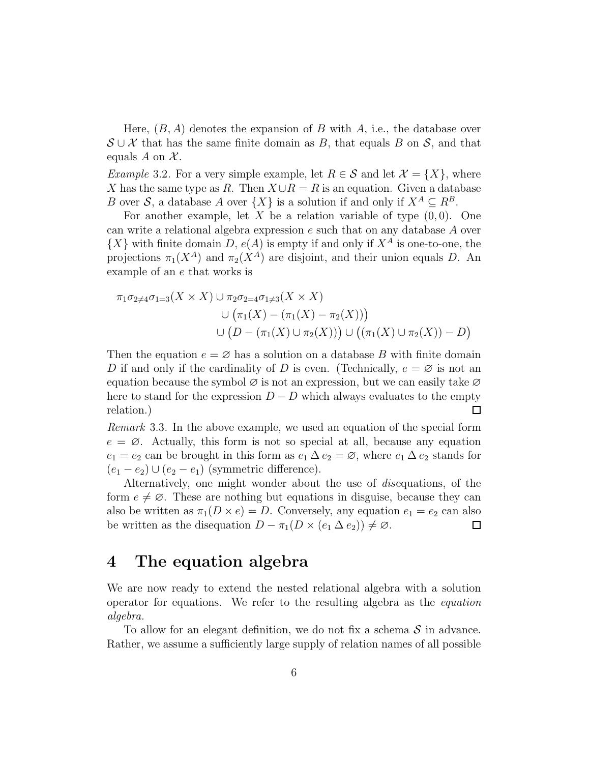Here,  $(B, A)$  denotes the expansion of B with A, i.e., the database over  $\mathcal{S} \cup \mathcal{X}$  that has the same finite domain as B, that equals B on S, and that equals A on  $\mathcal{X}$ .

<span id="page-5-1"></span>*Example* 3.2. For a very simple example, let  $R \in \mathcal{S}$  and let  $\mathcal{X} = \{X\}$ , where X has the same type as R. Then  $X \cup R = R$  is an equation. Given a database B over S, a database A over  $\{X\}$  is a solution if and only if  $X^A \subseteq R^B$ .

For another example, let X be a relation variable of type  $(0, 0)$ . One can write a relational algebra expression e such that on any database A over  $\{X\}$  with finite domain D,  $e(A)$  is empty if and only if  $X^A$  is one-to-one, the projections  $\pi_1(X^A)$  and  $\pi_2(X^A)$  are disjoint, and their union equals D. An example of an e that works is

$$
\pi_1 \sigma_{2 \neq 4} \sigma_{1=3}(X \times X) \cup \pi_2 \sigma_{2=4} \sigma_{1\neq 3}(X \times X)
$$
  

$$
\cup (\pi_1(X) - (\pi_1(X) - \pi_2(X)))
$$
  

$$
\cup (D - (\pi_1(X) \cup \pi_2(X))) \cup ((\pi_1(X) \cup \pi_2(X)) - D)
$$

Then the equation  $e = \emptyset$  has a solution on a database B with finite domain D if and only if the cardinality of D is even. (Technically,  $e = \emptyset$  is not an equation because the symbol  $\varnothing$  is not an expression, but we can easily take  $\varnothing$ here to stand for the expression  $D - D$  which always evaluates to the empty relation.)  $\Box$ 

<span id="page-5-2"></span>Remark 3.3. In the above example, we used an equation of the special form  $e = \emptyset$ . Actually, this form is not so special at all, because any equation  $e_1 = e_2$  can be brought in this form as  $e_1 \Delta e_2 = \emptyset$ , where  $e_1 \Delta e_2$  stands for  $(e_1 - e_2) \cup (e_2 - e_1)$  (symmetric difference).

Alternatively, one might wonder about the use of disequations, of the form  $e \neq \emptyset$ . These are nothing but equations in disguise, because they can also be written as  $\pi_1(D \times e) = D$ . Conversely, any equation  $e_1 = e_2$  can also be written as the disequation  $D - \pi_1(D \times (e_1 \Delta e_2)) \neq \emptyset$ .  $\Box$ 

### <span id="page-5-0"></span>4 The equation algebra

We are now ready to extend the nested relational algebra with a solution operator for equations. We refer to the resulting algebra as the equation algebra.

To allow for an elegant definition, we do not fix a schema  $S$  in advance. Rather, we assume a sufficiently large supply of relation names of all possible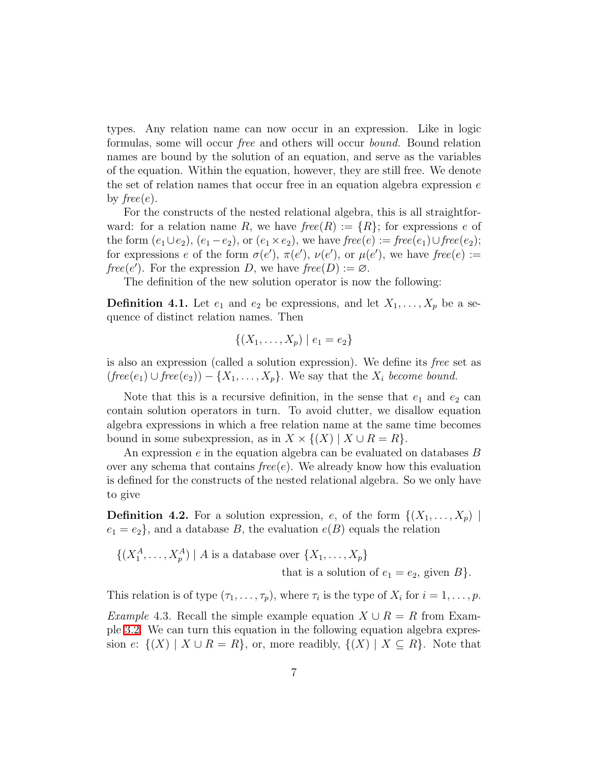types. Any relation name can now occur in an expression. Like in logic formulas, some will occur free and others will occur bound. Bound relation names are bound by the solution of an equation, and serve as the variables of the equation. Within the equation, however, they are still free. We denote the set of relation names that occur free in an equation algebra expression  $e$ by  $free(e)$ .

For the constructs of the nested relational algebra, this is all straightforward: for a relation name R, we have  $free(R) := \{R\}$ ; for expressions e of the form  $(e_1 \cup e_2)$ ,  $(e_1 - e_2)$ , or  $(e_1 \times e_2)$ , we have  $free(e) := free(e_1) \cup free(e_2)$ ; for expressions e of the form  $\sigma(e')$ ,  $\pi(e')$ ,  $\nu(e')$ , or  $\mu(e')$ , we have free(e) := free(e'). For the expression D, we have free(D) :=  $\emptyset$ .

The definition of the new solution operator is now the following:

**Definition 4.1.** Let  $e_1$  and  $e_2$  be expressions, and let  $X_1, \ldots, X_p$  be a sequence of distinct relation names. Then

$$
\{(X_1, \ldots, X_p) \mid e_1 = e_2\}
$$

is also an expression (called a solution expression). We define its free set as  $(free(e_1) \cup free(e_2)) - \{X_1, \ldots, X_p\}.$  We say that the  $X_i$  become bound.

Note that this is a recursive definition, in the sense that  $e_1$  and  $e_2$  can contain solution operators in turn. To avoid clutter, we disallow equation algebra expressions in which a free relation name at the same time becomes bound in some subexpression, as in  $X \times \{(X) | X \cup R = R\}.$ 

An expression  $e$  in the equation algebra can be evaluated on databases  $B$ over any schema that contains  $free(e)$ . We already know how this evaluation is defined for the constructs of the nested relational algebra. So we only have to give

**Definition 4.2.** For a solution expression, e, of the form  $\{(X_1, \ldots, X_p)$  $e_1 = e_2$ , and a database B, the evaluation  $e(B)$  equals the relation

$$
\{(X_1^A, \dots, X_p^A) \mid A \text{ is a database over } \{X_1, \dots, X_p\}
$$
  
that is a solution of  $e_1 = e_2$ , given B $\}.$ 

<span id="page-6-0"></span>This relation is of type  $(\tau_1, \ldots, \tau_p)$ , where  $\tau_i$  is the type of  $X_i$  for  $i = 1, \ldots, p$ .

Example 4.3. Recall the simple example equation  $X \cup R = R$  from Example [3.2.](#page-5-1) We can turn this equation in the following equation algebra expression e:  $\{(X) | X \cup R = R\}$ , or, more readibly,  $\{(X) | X \subseteq R\}$ . Note that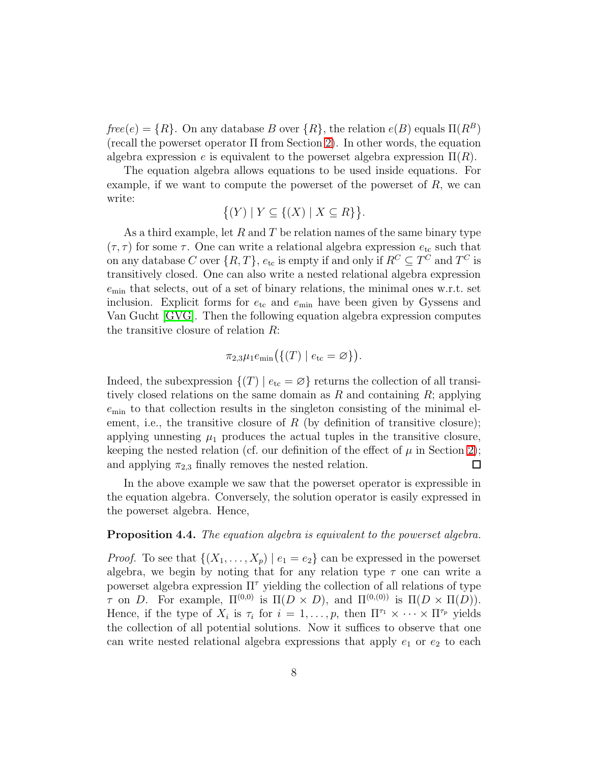$free(e) = \{R\}$ . On any database B over  $\{R\}$ , the relation  $e(B)$  equals  $\Pi(R^B)$ (recall the powerset operator Π from Section [2\)](#page-3-0). In other words, the equation algebra expression e is equivalent to the powerset algebra expression  $\Pi(R)$ .

The equation algebra allows equations to be used inside equations. For example, if we want to compute the powerset of the powerset of  $R$ , we can write:

$$
\{(Y) \mid Y \subseteq \{(X) \mid X \subseteq R\} \}.
$$

As a third example, let  $R$  and  $T$  be relation names of the same binary type  $(\tau, \tau)$  for some  $\tau$ . One can write a relational algebra expression  $e_{\rm tc}$  such that on any database C over  $\{R, T\}$ ,  $e_{\text{tc}}$  is empty if and only if  $R^C \subseteq T^C$  and  $T^C$  is transitively closed. One can also write a nested relational algebra expression  $e_{\min}$  that selects, out of a set of binary relations, the minimal ones w.r.t. set inclusion. Explicit forms for  $e_{\text{tc}}$  and  $e_{\text{min}}$  have been given by Gyssens and Van Gucht [\[GVG\]](#page-21-6). Then the following equation algebra expression computes the transitive closure of relation R:

$$
\pi_{2,3}\mu_1 e_{\min}\big(\{(T) \mid e_{\text{tc}} = \varnothing\}\big).
$$

Indeed, the subexpression  $\{(T) | e_{tc} = \emptyset\}$  returns the collection of all transitively closed relations on the same domain as  $R$  and containing  $R$ ; applying  $e_{\min}$  to that collection results in the singleton consisting of the minimal element, i.e., the transitive closure of  $R$  (by definition of transitive closure); applying unnesting  $\mu_1$  produces the actual tuples in the transitive closure, keeping the nested relation (cf. our definition of the effect of  $\mu$  in Section [2\)](#page-3-0); and applying  $\pi_{2,3}$  finally removes the nested relation.  $\Box$ 

In the above example we saw that the powerset operator is expressible in the equation algebra. Conversely, the solution operator is easily expressed in the powerset algebra. Hence,

### <span id="page-7-0"></span>Proposition 4.4. The equation algebra is equivalent to the powerset algebra.

*Proof.* To see that  $\{(X_1, \ldots, X_p) \mid e_1 = e_2\}$  can be expressed in the powerset algebra, we begin by noting that for any relation type  $\tau$  one can write a powerset algebra expression  $\Pi^{\tau}$  yielding the collection of all relations of type  $\tau$  on D. For example,  $\Pi^{(0,0)}$  is  $\Pi(D \times D)$ , and  $\Pi^{(0,(0))}$  is  $\Pi(D \times \Pi(D))$ . Hence, if the type of  $X_i$  is  $\tau_i$  for  $i = 1, \ldots, p$ , then  $\Pi^{\tau_1} \times \cdots \times \Pi^{\tau_p}$  yields the collection of all potential solutions. Now it suffices to observe that one can write nested relational algebra expressions that apply  $e_1$  or  $e_2$  to each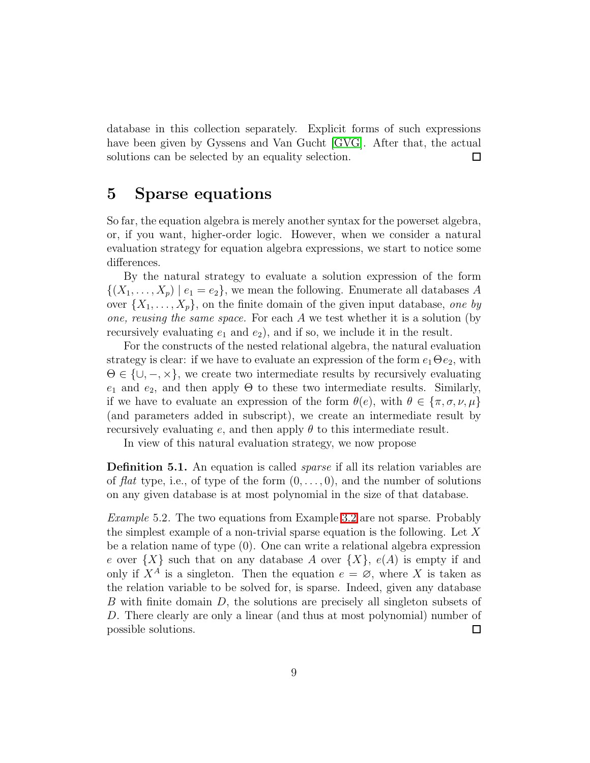database in this collection separately. Explicit forms of such expressions have been given by Gyssens and Van Gucht [\[GVG\]](#page-21-6). After that, the actual solutions can be selected by an equality selection.  $\Box$ 

### <span id="page-8-0"></span>5 Sparse equations

So far, the equation algebra is merely another syntax for the powerset algebra, or, if you want, higher-order logic. However, when we consider a natural evaluation strategy for equation algebra expressions, we start to notice some differences.

By the natural strategy to evaluate a solution expression of the form  $\{(X_1, \ldots, X_p) \mid e_1 = e_2\}$ , we mean the following. Enumerate all databases A over  $\{X_1, \ldots, X_p\}$ , on the finite domain of the given input database, one by one, reusing the same space. For each  $A$  we test whether it is a solution (by recursively evaluating  $e_1$  and  $e_2$ ), and if so, we include it in the result.

For the constructs of the nested relational algebra, the natural evaluation strategy is clear: if we have to evaluate an expression of the form  $e_1 \Theta e_2$ , with  $\Theta \in \{ \cup, -, \times \}$ , we create two intermediate results by recursively evaluating  $e_1$  and  $e_2$ , and then apply  $\Theta$  to these two intermediate results. Similarly, if we have to evaluate an expression of the form  $\theta(e)$ , with  $\theta \in {\pi, \sigma, \nu, \mu}$ (and parameters added in subscript), we create an intermediate result by recursively evaluating e, and then apply  $\theta$  to this intermediate result.

In view of this natural evaluation strategy, we now propose

<span id="page-8-1"></span>Definition 5.1. An equation is called *sparse* if all its relation variables are of flat type, i.e., of type of the form  $(0, \ldots, 0)$ , and the number of solutions on any given database is at most polynomial in the size of that database.

<span id="page-8-2"></span>Example 5.2. The two equations from Example [3.2](#page-5-1) are not sparse. Probably the simplest example of a non-trivial sparse equation is the following. Let  $X$ be a relation name of type (0). One can write a relational algebra expression e over  $\{X\}$  such that on any database A over  $\{X\}$ ,  $e(A)$  is empty if and only if  $X^A$  is a singleton. Then the equation  $e = \emptyset$ , where X is taken as the relation variable to be solved for, is sparse. Indeed, given any database B with finite domain D, the solutions are precisely all singleton subsets of D. There clearly are only a linear (and thus at most polynomial) number of possible solutions.  $\Box$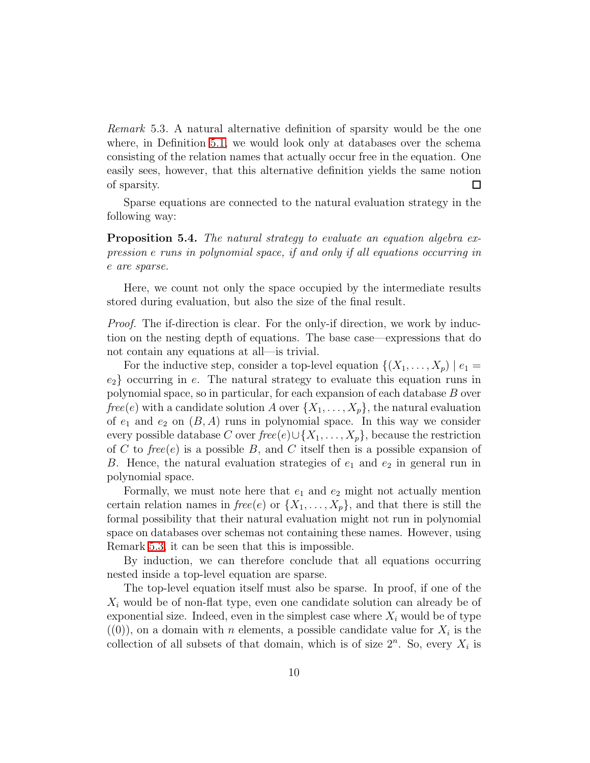Remark 5.3. A natural alternative definition of sparsity would be the one where, in Definition [5.1,](#page-8-1) we would look only at databases over the schema consisting of the relation names that actually occur free in the equation. One easily sees, however, that this alternative definition yields the same notion of sparsity.  $\Box$ 

<span id="page-9-0"></span>Sparse equations are connected to the natural evaluation strategy in the following way:

Proposition 5.4. The natural strategy to evaluate an equation algebra expression e runs in polynomial space, if and only if all equations occurring in e are sparse.

Here, we count not only the space occupied by the intermediate results stored during evaluation, but also the size of the final result.

Proof. The if-direction is clear. For the only-if direction, we work by induction on the nesting depth of equations. The base case—expressions that do not contain any equations at all—is trivial.

For the inductive step, consider a top-level equation  $\{(X_1, \ldots, X_p) \mid e_1 =$  $e_2$  occurring in e. The natural strategy to evaluate this equation runs in polynomial space, so in particular, for each expansion of each database B over  $free(e)$  with a candidate solution A over  $\{X_1, \ldots, X_p\}$ , the natural evaluation of  $e_1$  and  $e_2$  on  $(B, A)$  runs in polynomial space. In this way we consider every possible database C over  $free(e) \cup \{X_1, \ldots, X_p\}$ , because the restriction of C to  $free(e)$  is a possible B, and C itself then is a possible expansion of B. Hence, the natural evaluation strategies of  $e_1$  and  $e_2$  in general run in polynomial space.

Formally, we must note here that  $e_1$  and  $e_2$  might not actually mention certain relation names in  $free(e)$  or  $\{X_1, \ldots, X_p\}$ , and that there is still the formal possibility that their natural evaluation might not run in polynomial space on databases over schemas not containing these names. However, using Remark [5.3,](#page-8-2) it can be seen that this is impossible.

By induction, we can therefore conclude that all equations occurring nested inside a top-level equation are sparse.

The top-level equation itself must also be sparse. In proof, if one of the  $X_i$  would be of non-flat type, even one candidate solution can already be of exponential size. Indeed, even in the simplest case where  $X_i$  would be of type  $((0))$ , on a domain with *n* elements, a possible candidate value for  $X_i$  is the collection of all subsets of that domain, which is of size  $2^n$ . So, every  $X_i$  is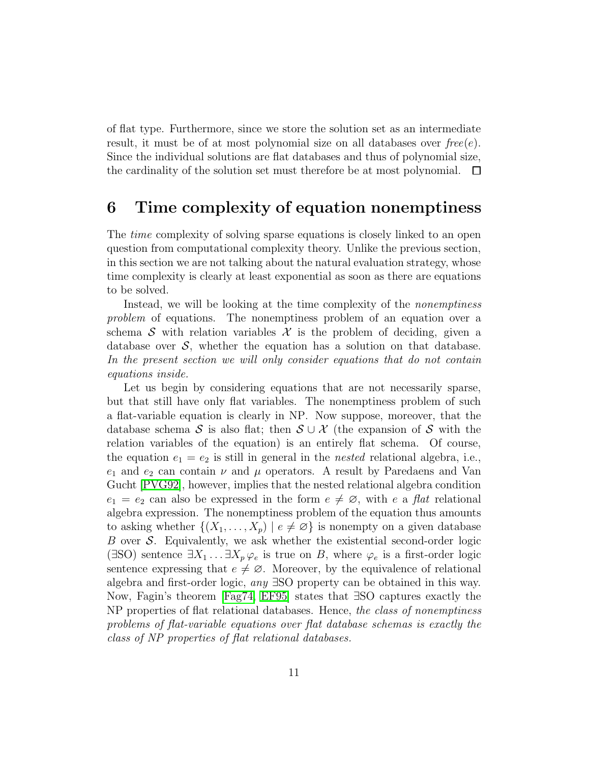of flat type. Furthermore, since we store the solution set as an intermediate result, it must be of at most polynomial size on all databases over  $free(e)$ . Since the individual solutions are flat databases and thus of polynomial size, the cardinality of the solution set must therefore be at most polynomial.  $\Box$ 

### <span id="page-10-0"></span>6 Time complexity of equation nonemptiness

The *time* complexity of solving sparse equations is closely linked to an open question from computational complexity theory. Unlike the previous section, in this section we are not talking about the natural evaluation strategy, whose time complexity is clearly at least exponential as soon as there are equations to be solved.

Instead, we will be looking at the time complexity of the *nonemptiness* problem of equations. The nonemptiness problem of an equation over a schema S with relation variables  $\mathcal X$  is the problem of deciding, given a database over  $S$ , whether the equation has a solution on that database. In the present section we will only consider equations that do not contain equations inside.

Let us begin by considering equations that are not necessarily sparse, but that still have only flat variables. The nonemptiness problem of such a flat-variable equation is clearly in NP. Now suppose, moreover, that the database schema S is also flat; then  $S \cup \mathcal{X}$  (the expansion of S with the relation variables of the equation) is an entirely flat schema. Of course, the equation  $e_1 = e_2$  is still in general in the *nested* relational algebra, i.e.,  $e_1$  and  $e_2$  can contain  $\nu$  and  $\mu$  operators. A result by Paredaens and Van Gucht [\[PVG92\]](#page-21-7), however, implies that the nested relational algebra condition  $e_1 = e_2$  can also be expressed in the form  $e \neq \emptyset$ , with e a flat relational algebra expression. The nonemptiness problem of the equation thus amounts to asking whether  $\{(X_1, \ldots, X_p) \mid e \neq \emptyset\}$  is nonempty on a given database B over S. Equivalently, we ask whether the existential second-order logic ( $\exists$ SO) sentence  $\exists X_1 \dots \exists X_p \varphi_e$  is true on B, where  $\varphi_e$  is a first-order logic sentence expressing that  $e \neq \emptyset$ . Moreover, by the equivalence of relational algebra and first-order logic, any ∃SO property can be obtained in this way. Now, Fagin's theorem [\[Fag74,](#page-20-0) [EF95\]](#page-20-1) states that ∃SO captures exactly the NP properties of flat relational databases. Hence, the class of nonemptiness problems of flat-variable equations over flat database schemas is exactly the class of NP properties of flat relational databases.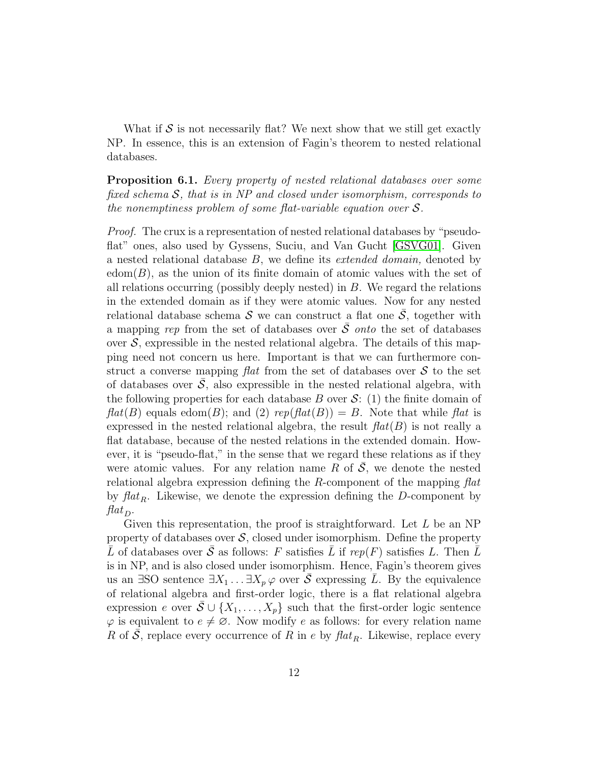<span id="page-11-0"></span>What if  $\mathcal S$  is not necessarily flat? We next show that we still get exactly NP. In essence, this is an extension of Fagin's theorem to nested relational databases.

Proposition 6.1. Every property of nested relational databases over some fixed schema S, that is in NP and closed under isomorphism, corresponds to the nonemptiness problem of some flat-variable equation over  $S$ .

Proof. The crux is a representation of nested relational databases by "pseudoflat" ones, also used by Gyssens, Suciu, and Van Gucht [\[GSVG01\]](#page-20-6). Given a nested relational database  $B$ , we define its *extended domain*, denoted by  $edom(B)$ , as the union of its finite domain of atomic values with the set of all relations occurring (possibly deeply nested) in  $B$ . We regard the relations in the extended domain as if they were atomic values. Now for any nested relational database schema S we can construct a flat one  $\overline{S}$ , together with a mapping rep from the set of databases over  $\overline{S}$  onto the set of databases over  $S$ , expressible in the nested relational algebra. The details of this mapping need not concern us here. Important is that we can furthermore construct a converse mapping flat from the set of databases over  $S$  to the set of databases over  $S$ , also expressible in the nested relational algebra, with the following properties for each database  $B$  over  $\mathcal{S}$ : (1) the finite domain of  $flat(B)$  equals edom(B); and (2)  $rep(flat(B)) = B$ . Note that while flat is expressed in the nested relational algebra, the result  $flat(B)$  is not really a flat database, because of the nested relations in the extended domain. However, it is "pseudo-flat," in the sense that we regard these relations as if they were atomic values. For any relation name R of  $\overline{S}$ , we denote the nested relational algebra expression defining the R-component of the mapping  $flat$ by  $\text{flat}_R$ . Likewise, we denote the expression defining the D-component by  $flat_D$ .

Given this representation, the proof is straightforward. Let  $L$  be an NP property of databases over  $S$ , closed under isomorphism. Define the property L of databases over  $\overline{S}$  as follows: F satisfies L if rep(F) satisfies L. Then L is in NP, and is also closed under isomorphism. Hence, Fagin's theorem gives us an ∃SO sentence  $\exists X_1 \dots \exists X_p \varphi$  over  $\overline{S}$  expressing  $\overline{L}$ . By the equivalence of relational algebra and first-order logic, there is a flat relational algebra expression e over  $\overline{S} \cup \{X_1, \ldots, X_p\}$  such that the first-order logic sentence  $\varphi$  is equivalent to  $e \neq \emptyset$ . Now modify e as follows: for every relation name R of  $\overline{S}$ , replace every occurrence of R in e by  $\int I dt_R$ . Likewise, replace every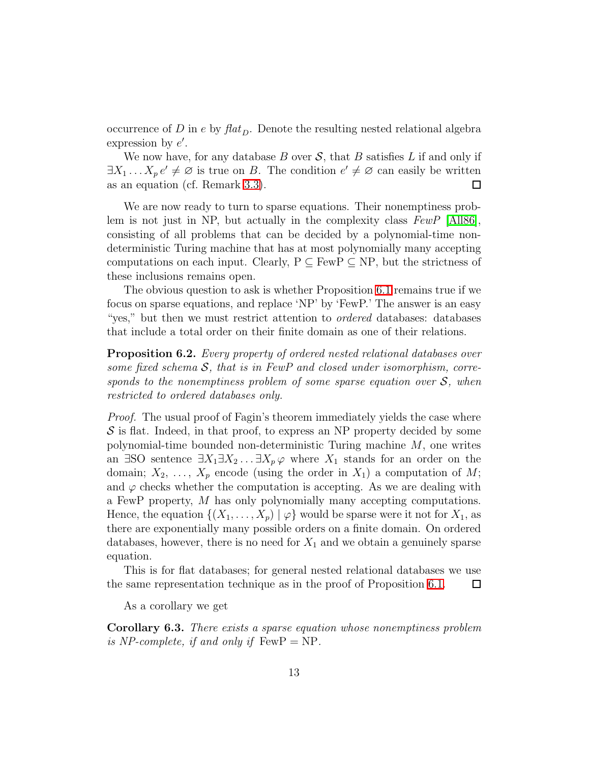occurrence of D in e by  $\text{flat}_D$ . Denote the resulting nested relational algebra expression by  $e'$ .

We now have, for any database  $B$  over  $S$ , that  $B$  satisfies  $L$  if and only if  $\exists X_1 \dots X_p e' \neq \emptyset$  is true on B. The condition  $e' \neq \emptyset$  can easily be written as an equation (cf. Remark [3.3\)](#page-5-2).  $\Box$ 

We are now ready to turn to sparse equations. Their nonemptiness problem is not just in NP, but actually in the complexity class  $FewP$  [\[All86\]](#page-20-2), consisting of all problems that can be decided by a polynomial-time nondeterministic Turing machine that has at most polynomially many accepting computations on each input. Clearly,  $P \subseteq \text{FewP} \subseteq NP$ , but the strictness of these inclusions remains open.

The obvious question to ask is whether Proposition [6.1](#page-11-0) remains true if we focus on sparse equations, and replace 'NP' by 'FewP.' The answer is an easy "yes," but then we must restrict attention to *ordered* databases: databases that include a total order on their finite domain as one of their relations.

**Proposition 6.2.** Every property of ordered nested relational databases over some fixed schema  $S$ , that is in FewP and closed under isomorphism, corresponds to the nonemptiness problem of some sparse equation over  $S$ , when restricted to ordered databases only.

Proof. The usual proof of Fagin's theorem immediately yields the case where  $\mathcal S$  is flat. Indeed, in that proof, to express an NP property decided by some polynomial-time bounded non-deterministic Turing machine  $M$ , one writes an ∃SO sentence  $\exists X_1 \exists X_2 \ldots \exists X_p \varphi$  where  $X_1$  stands for an order on the domain;  $X_2, \ldots, X_p$  encode (using the order in  $X_1$ ) a computation of M; and  $\varphi$  checks whether the computation is accepting. As we are dealing with a FewP property, M has only polynomially many accepting computations. Hence, the equation  $\{(X_1, \ldots, X_p) | \varphi\}$  would be sparse were it not for  $X_1$ , as there are exponentially many possible orders on a finite domain. On ordered databases, however, there is no need for  $X_1$  and we obtain a genuinely sparse equation.

This is for flat databases; for general nested relational databases we use the same representation technique as in the proof of Proposition [6.1.](#page-11-0)  $\Box$ 

As a corollary we get

Corollary 6.3. There exists a sparse equation whose nonemptiness problem is NP-complete, if and only if  $FewP = NP$ .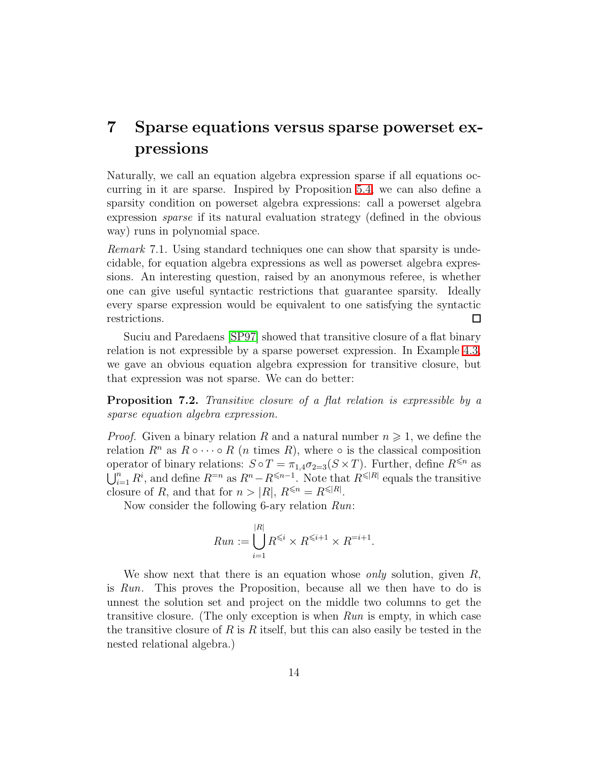## <span id="page-13-0"></span>7 Sparse equations versus sparse powerset expressions

Naturally, we call an equation algebra expression sparse if all equations occurring in it are sparse. Inspired by Proposition [5.4,](#page-9-0) we can also define a sparsity condition on powerset algebra expressions: call a powerset algebra expression sparse if its natural evaluation strategy (defined in the obvious way) runs in polynomial space.

Remark 7.1. Using standard techniques one can show that sparsity is undecidable, for equation algebra expressions as well as powerset algebra expressions. An interesting question, raised by an anonymous referee, is whether one can give useful syntactic restrictions that guarantee sparsity. Ideally every sparse expression would be equivalent to one satisfying the syntactic restrictions.  $\Box$ 

Suciu and Paredaens [\[SP97\]](#page-21-0) showed that transitive closure of a flat binary relation is not expressible by a sparse powerset expression. In Example [4.3,](#page-6-0) we gave an obvious equation algebra expression for transitive closure, but that expression was not sparse. We can do better:

<span id="page-13-1"></span>Proposition 7.2. Transitive closure of a flat relation is expressible by a sparse equation algebra expression.

*Proof.* Given a binary relation R and a natural number  $n \geq 1$ , we define the relation  $R^n$  as  $R \circ \cdots \circ R$  (*n* times R), where  $\circ$  is the classical composition operator of binary relations:  $S \circ T = \pi_{1,4}\sigma_{2=3}(S \times T)$ . Further, define  $R^{\leq n}$  as  $\overline{\bigcup_{i=1}^{n} R^{i}}$ , and define  $R^{=n}$  as  $R^{n}-R^{\leqslant n-1}$ . Note that  $R^{\leqslant |R|}$  equals the transitive closure of R, and that for  $n > |R|$ ,  $R^{\leq n} = R^{\leq |R|}$ .

Now consider the following 6-ary relation Run:

$$
Run := \bigcup_{i=1}^{|R|} R^{\leq i} \times R^{\leq i+1} \times R^{=i+1}.
$$

We show next that there is an equation whose *only* solution, given  $R$ , is Run. This proves the Proposition, because all we then have to do is unnest the solution set and project on the middle two columns to get the transitive closure. (The only exception is when Run is empty, in which case the transitive closure of  $R$  is  $R$  itself, but this can also easily be tested in the nested relational algebra.)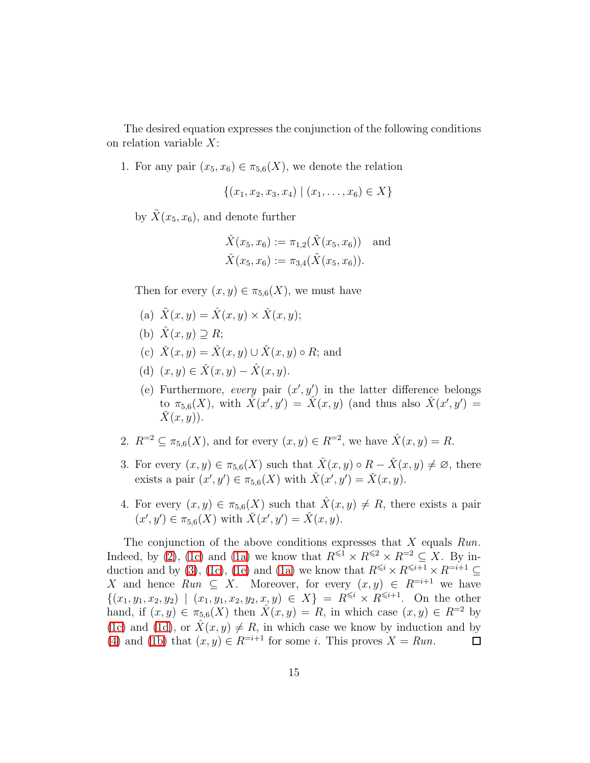The desired equation expresses the conjunction of the following conditions on relation variable  $X$ :

1. For any pair  $(x_5, x_6) \in \pi_{5,6}(X)$ , we denote the relation

$$
\{(x_1, x_2, x_3, x_4) \mid (x_1, \ldots, x_6) \in X\}
$$

by  $\tilde{X}(x_5, x_6)$ , and denote further

$$
\hat{X}(x_5, x_6) := \pi_{1,2}(\tilde{X}(x_5, x_6))
$$
 and  
\n $\check{X}(x_5, x_6) := \pi_{3,4}(\tilde{X}(x_5, x_6)).$ 

<span id="page-14-2"></span>Then for every  $(x, y) \in \pi_{5,6}(X)$ , we must have

- <span id="page-14-7"></span>(a)  $\tilde{X}(x, y) = \hat{X}(x, y) \times \check{X}(x, y);$
- <span id="page-14-1"></span>(b)  $\hat{X}(x, y) \supseteq R$ ;
- <span id="page-14-5"></span>(c)  $\check{X}(x, y) = \hat{X}(x, y) \cup \hat{X}(x, y) \circ R$ ; and
- <span id="page-14-4"></span>(d)  $(x, y) \in \check{X}(x, y) - \hat{X}(x, y)$ .
- (e) Furthermore, every pair  $(x', y')$  in the latter difference belongs to  $\pi_{5,6}(X)$ , with  $\hat{X}(x',y') = \hat{X}(x,y)$  (and thus also  $\check{X}(x',y') =$  $\dot{X}(x, y)$ ).
- <span id="page-14-3"></span><span id="page-14-0"></span>2.  $R^{-2} \subseteq \pi_{5,6}(X)$ , and for every  $(x, y) \in R^{-2}$ , we have  $\hat{X}(x, y) = R$ .
- 3. For every  $(x, y) \in \pi_{5,6}(X)$  such that  $\check{X}(x, y) \circ R \check{X}(x, y) \neq \emptyset$ , there exists a pair  $(x', y') \in \pi_{5,6}(X)$  with  $\hat{X}(x', y') = \check{X}(x, y)$ .
- <span id="page-14-6"></span>4. For every  $(x, y) \in \pi_{5,6}(X)$  such that  $\hat{X}(x, y) \neq R$ , there exists a pair  $(x', y') \in \pi_{5,6}(X)$  with  $\check{X}(x', y') = \hat{X}(x, y)$ .

The conjunction of the above conditions expresses that  $X$  equals  $Run$ . Indeed, by [\(2\)](#page-14-0), [\(1c\)](#page-14-1) and [\(1a\)](#page-14-2) we know that  $R^{\leq 1} \times R^{\leq 2} \times R^{-2} \subseteq X$ . By in-duction and by [\(3\)](#page-14-3), [\(1c\)](#page-14-1), [\(1e\)](#page-14-4) and [\(1a\)](#page-14-2) we know that  $R^{\leq i} \times R^{\leq i+1} \times R^{-i+1} \subseteq$ X and hence  $Run \subseteq X$ . Moreover, for every  $(x, y) \in R^{-i+1}$  we have  $\{(x_1, y_1, x_2, y_2) \mid (x_1, y_1, x_2, y_2, x, y) \in X\} = R^{\leq i} \times R^{\leq i+1}$ . On the other hand, if  $(x, y) \in \pi_{5,6}(X)$  then  $\hat{X}(x, y) = R$ , in which case  $(x, y) \in R^{-2}$  by [\(1c\)](#page-14-1) and [\(1d\)](#page-14-5), or  $\hat{X}(x, y) \neq R$ , in which case we know by induction and by [\(4\)](#page-14-6) and [\(1b\)](#page-14-7) that  $(x, y) \in R^{-i+1}$  for some i. This proves  $X = Run$ .  $\Box$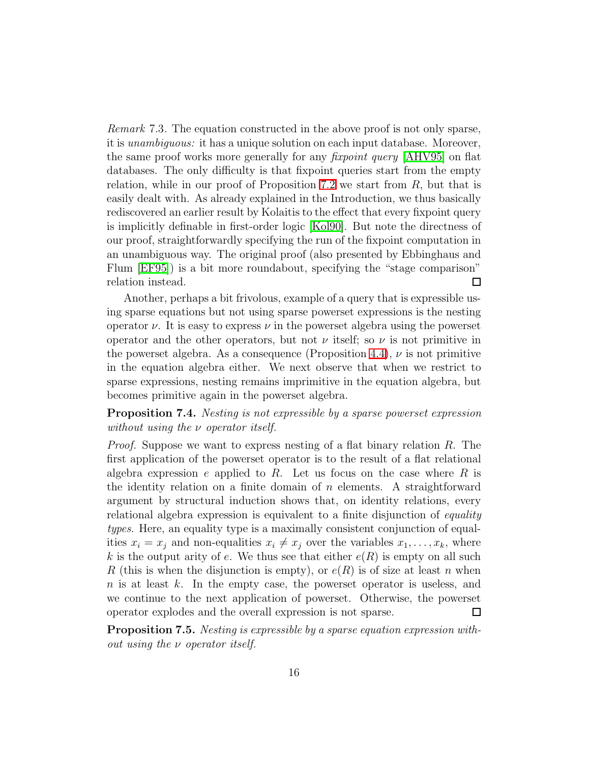Remark 7.3. The equation constructed in the above proof is not only sparse, it is unambiguous: it has a unique solution on each input database. Moreover, the same proof works more generally for any *fixpoint query* [\[AHV95\]](#page-20-5) on flat databases. The only difficulty is that fixpoint queries start from the empty relation, while in our proof of Proposition [7.2](#page-13-1) we start from  $R$ , but that is easily dealt with. As already explained in the Introduction, we thus basically rediscovered an earlier result by Kolaitis to the effect that every fixpoint query is implicitly definable in first-order logic [\[Kol90\]](#page-21-3). But note the directness of our proof, straightforwardly specifying the run of the fixpoint computation in an unambiguous way. The original proof (also presented by Ebbinghaus and Flum [\[EF95\]](#page-20-1)) is a bit more roundabout, specifying the "stage comparison" relation instead.  $\Box$ 

Another, perhaps a bit frivolous, example of a query that is expressible using sparse equations but not using sparse powerset expressions is the nesting operator  $\nu$ . It is easy to express  $\nu$  in the powerset algebra using the powerset operator and the other operators, but not  $\nu$  itself; so  $\nu$  is not primitive in the powerset algebra. As a consequence (Proposition [4.4\)](#page-7-0),  $\nu$  is not primitive in the equation algebra either. We next observe that when we restrict to sparse expressions, nesting remains imprimitive in the equation algebra, but becomes primitive again in the powerset algebra.

Proposition 7.4. Nesting is not expressible by a sparse powerset expression without using the  $\nu$  operator itself.

*Proof.* Suppose we want to express nesting of a flat binary relation  $R$ . The first application of the powerset operator is to the result of a flat relational algebra expression e applied to R. Let us focus on the case where R is the identity relation on a finite domain of  $n$  elements. A straightforward argument by structural induction shows that, on identity relations, every relational algebra expression is equivalent to a finite disjunction of equality types. Here, an equality type is a maximally consistent conjunction of equalities  $x_i = x_j$  and non-equalities  $x_i \neq x_j$  over the variables  $x_1, \ldots, x_k$ , where k is the output arity of e. We thus see that either  $e(R)$  is empty on all such R (this is when the disjunction is empty), or  $e(R)$  is of size at least n when n is at least k. In the empty case, the powerset operator is useless, and we continue to the next application of powerset. Otherwise, the powerset operator explodes and the overall expression is not sparse.  $\Box$ 

Proposition 7.5. Nesting is expressible by a sparse equation expression without using the ν operator itself.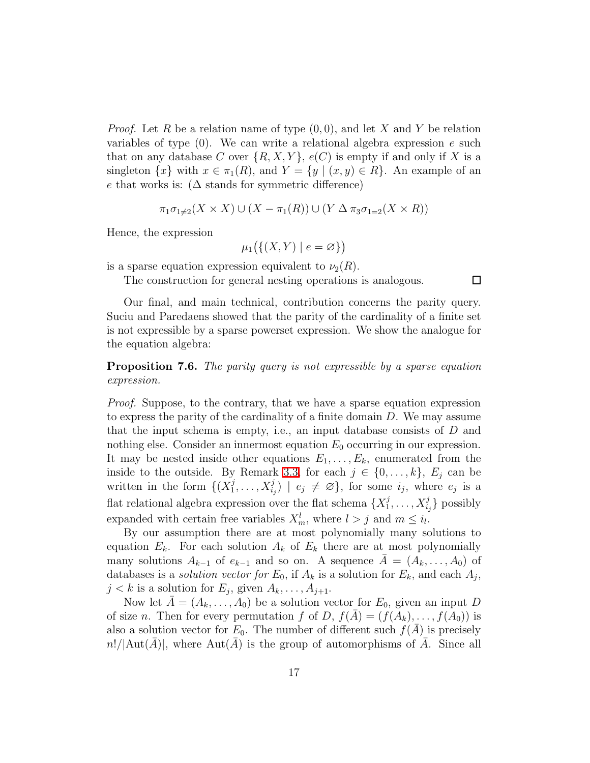*Proof.* Let R be a relation name of type  $(0,0)$ , and let X and Y be relation variables of type  $(0)$ . We can write a relational algebra expression e such that on any database C over  $\{R, X, Y\}$ ,  $e(C)$  is empty if and only if X is a singleton  $\{x\}$  with  $x \in \pi_1(R)$ , and  $Y = \{y \mid (x, y) \in R\}$ . An example of an e that works is:  $(\Delta \text{ stands for symmetric difference})$ 

$$
\pi_1 \sigma_{1 \neq 2}(X \times X) \cup (X - \pi_1(R)) \cup (Y \Delta \pi_3 \sigma_{1=2}(X \times R))
$$

Hence, the expression

$$
\mu_1(\{(X,Y) \mid e = \varnothing\})
$$

is a sparse equation expression equivalent to  $\nu_2(R)$ .

The construction for general nesting operations is analogous.

 $\Box$ 

Our final, and main technical, contribution concerns the parity query. Suciu and Paredaens showed that the parity of the cardinality of a finite set is not expressible by a sparse powerset expression. We show the analogue for the equation algebra:

Proposition 7.6. The parity query is not expressible by a sparse equation expression.

Proof. Suppose, to the contrary, that we have a sparse equation expression to express the parity of the cardinality of a finite domain D. We may assume that the input schema is empty, i.e., an input database consists of  $D$  and nothing else. Consider an innermost equation  $E_0$  occurring in our expression. It may be nested inside other equations  $E_1, \ldots, E_k$ , enumerated from the inside to the outside. By Remark [3.3,](#page-5-2) for each  $j \in \{0, \ldots, k\}$ ,  $E_j$  can be written in the form  $\{X_1^j\}$  $\{(\mathbf{x}_1^j, \ldots, \mathbf{x}_{i_j}^j) \mid e_j \neq \emptyset\},\$  for some  $i_j$ , where  $e_j$  is a flat relational algebra expression over the flat schema  $\{X_1^j\}$  $\{1, \ldots, X_{i_j}^j\}$  possibly expanded with certain free variables  $X_m^l$ , where  $l > j$  and  $m \leq i_l$ .

By our assumption there are at most polynomially many solutions to equation  $E_k$ . For each solution  $A_k$  of  $E_k$  there are at most polynomially many solutions  $A_{k-1}$  of  $e_{k-1}$  and so on. A sequence  $\overline{A} = (A_k, \ldots, A_0)$  of databases is a *solution vector for*  $E_0$ , if  $A_k$  is a solution for  $E_k$ , and each  $A_j$ ,  $j < k$  is a solution for  $E_j$ , given  $A_k, \ldots, A_{j+1}$ .

Now let  $A = (A_k, \ldots, A_0)$  be a solution vector for  $E_0$ , given an input D of size *n*. Then for every permutation f of D,  $f(\overline{A}) = (f(A_k), \ldots, f(A_0))$  is also a solution vector for  $E_0$ . The number of different such  $f(\overline{A})$  is precisely  $n!/|\text{Aut}(\overline{A})|$ , where  $\text{Aut}(\overline{A})$  is the group of automorphisms of A. Since all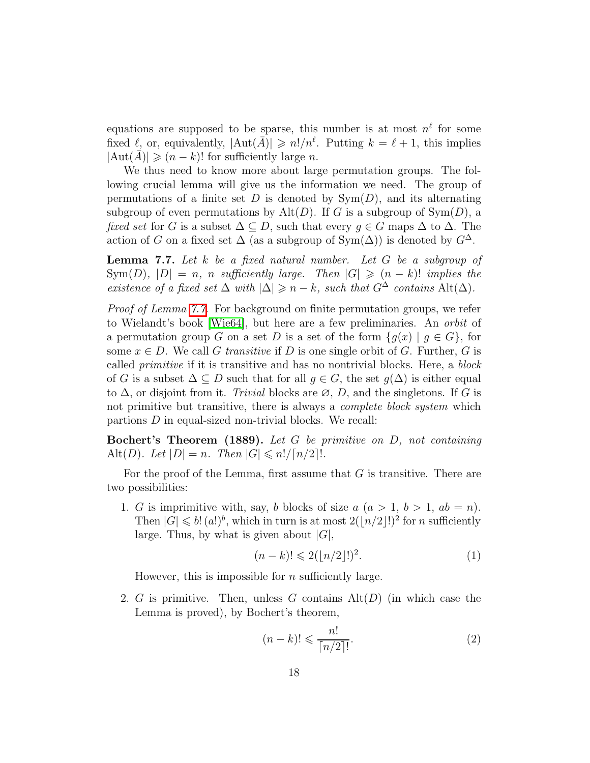equations are supposed to be sparse, this number is at most  $n^{\ell}$  for some fixed  $\ell$ , or, equivalently,  $|\text{Aut}(\overline{A})| \geq n!/n^{\ell}$ . Putting  $k = \ell + 1$ , this implies  $|\text{Aut}(A)| \geqslant (n-k)!$  for sufficiently large n.

We thus need to know more about large permutation groups. The following crucial lemma will give us the information we need. The group of permutations of a finite set D is denoted by  $Sym(D)$ , and its alternating subgroup of even permutations by  $\text{Alt}(D)$ . If G is a subgroup of  $\text{Sym}(D)$ , a fixed set for G is a subset  $\Delta \subseteq D$ , such that every  $g \in G$  maps  $\Delta$  to  $\Delta$ . The action of G on a fixed set  $\Delta$  (as a subgroup of Sym( $\Delta$ )) is denoted by  $G^{\Delta}$ .

<span id="page-17-0"></span>**Lemma 7.7.** Let  $k$  be a fixed natural number. Let  $G$  be a subgroup of Sym(D),  $|D| = n$ , n sufficiently large. Then  $|G| \geq (n - k)!$  implies the existence of a fixed set  $\Delta$  with  $|\Delta| \geq n - k$ , such that  $G^{\Delta}$  contains Alt $(\Delta)$ .

Proof of Lemma [7.7.](#page-17-0) For background on finite permutation groups, we refer to Wielandt's book [\[Wie64\]](#page-21-8), but here are a few preliminaries. An orbit of a permutation group G on a set D is a set of the form  $\{q(x) | q \in G\}$ , for some  $x \in D$ . We call G transitive if D is one single orbit of G. Further, G is called primitive if it is transitive and has no nontrivial blocks. Here, a block of G is a subset  $\Delta \subseteq D$  such that for all  $g \in G$ , the set  $g(\Delta)$  is either equal to  $\Delta$ , or disjoint from it. Trivial blocks are  $\varnothing$ , D, and the singletons. If G is not primitive but transitive, there is always a *complete block system* which partions D in equal-sized non-trivial blocks. We recall:

Bochert's Theorem (1889). Let G be primitive on D, not containing Alt(*D*). Let  $|D| = n$ . Then  $|G| \le n! / \lceil n/2 \rceil!$ .

For the proof of the Lemma, first assume that  $G$  is transitive. There are two possibilities:

1. G is imprimitive with, say, b blocks of size  $a (a > 1, b > 1, ab = n)$ . Then  $|G| \leq b!$   $(a!)^b$ , which in turn is at most  $2(\lfloor n/2 \rfloor!)^2$  for *n* sufficiently large. Thus, by what is given about  $|G|$ ,

<span id="page-17-1"></span>
$$
(n-k)! \leq 2(\lfloor n/2 \rfloor!)^2. \tag{1}
$$

However, this is impossible for  $n$  sufficiently large.

2. G is primitive. Then, unless G contains  $\mathrm{Alt}(D)$  (in which case the Lemma is proved), by Bochert's theorem,

<span id="page-17-2"></span>
$$
(n-k)! \leqslant \frac{n!}{\lceil n/2 \rceil!}.
$$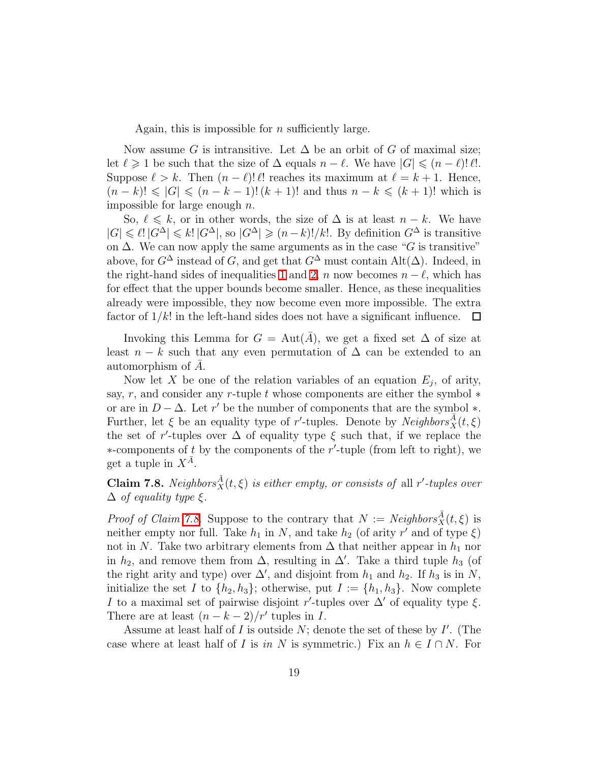Again, this is impossible for  $n$  sufficiently large.

Now assume G is intransitive. Let  $\Delta$  be an orbit of G of maximal size; let  $\ell \geq 1$  be such that the size of  $\Delta$  equals  $n - \ell$ . We have  $|G| \leq (n - \ell)! \ell!$ . Suppose  $\ell > k$ . Then  $(n - \ell)! \ell!$  reaches its maximum at  $\ell = k + 1$ . Hence,  $(n - k)! \leq |G| \leq (n - k - 1)!(k + 1)!$  and thus  $n - k \leq (k + 1)!$  which is impossible for large enough  $n$ .

So,  $\ell \leq k$ , or in other words, the size of  $\Delta$  is at least  $n - k$ . We have  $|G| \leq \ell! |G^{\Delta}| \leq k! |G^{\Delta}|$ , so  $|G^{\Delta}| \geq (n-k)!/k!$ . By definition  $G^{\Delta}$  is transitive on  $\Delta$ . We can now apply the same arguments as in the case "G is transitive" above, for  $G^{\Delta}$  instead of G, and get that  $G^{\Delta}$  must contain Alt( $\Delta$ ). Indeed, in the right-hand sides of inequalities [1](#page-17-1) and [2,](#page-17-2) n now becomes  $n - \ell$ , which has for effect that the upper bounds become smaller. Hence, as these inequalities already were impossible, they now become even more impossible. The extra factor of  $1/k!$  in the left-hand sides does not have a significant influence.  $\Box$ 

Invoking this Lemma for  $G = Aut(A)$ , we get a fixed set  $\Delta$  of size at least  $n - k$  such that any even permutation of  $\Delta$  can be extended to an automorphism of  $A$ .

Now let X be one of the relation variables of an equation  $E_j$ , of arity, say, r, and consider any r-tuple t whose components are either the symbol  $*$ or are in  $D - \Delta$ . Let r' be the number of components that are the symbol  $*$ . Further, let  $\xi$  be an equality type of r'-tuples. Denote by  $Neighbors_{X}^{\overline{A}}(t, \xi)$ the set of r'-tuples over  $\Delta$  of equality type  $\xi$  such that, if we replace the  $*$ -components of t by the components of the r'-tuple (from left to right), we get a tuple in  $X^{\bar{A}}$ .

<span id="page-18-0"></span>**Claim 7.8.** Neighbors $^{\bar{A}}_{X}(t,\xi)$  is either empty, or consists of all r'-tuples over  $\Delta$  of equality type  $\xi$ .

*Proof of Claim [7.8.](#page-18-0)* Suppose to the contrary that  $N := Neighbors_{X}^{\overline{A}}(t, \xi)$  is neither empty nor full. Take  $h_1$  in N, and take  $h_2$  (of arity r' and of type  $\xi$ ) not in N. Take two arbitrary elements from  $\Delta$  that neither appear in  $h_1$  nor in  $h_2$ , and remove them from  $\Delta$ , resulting in  $\Delta'$ . Take a third tuple  $h_3$  (of the right arity and type) over  $\Delta'$ , and disjoint from  $h_1$  and  $h_2$ . If  $h_3$  is in N, initialize the set I to  $\{h_2, h_3\}$ ; otherwise, put  $I := \{h_1, h_3\}$ . Now complete I to a maximal set of pairwise disjoint r'-tuples over  $\Delta'$  of equality type  $\xi$ . There are at least  $(n - k - 2)/r'$  tuples in I.

Assume at least half of  $I$  is outside  $N$ ; denote the set of these by  $I'$ . (The case where at least half of I is in N is symmetric.) Fix an  $h \in I \cap N$ . For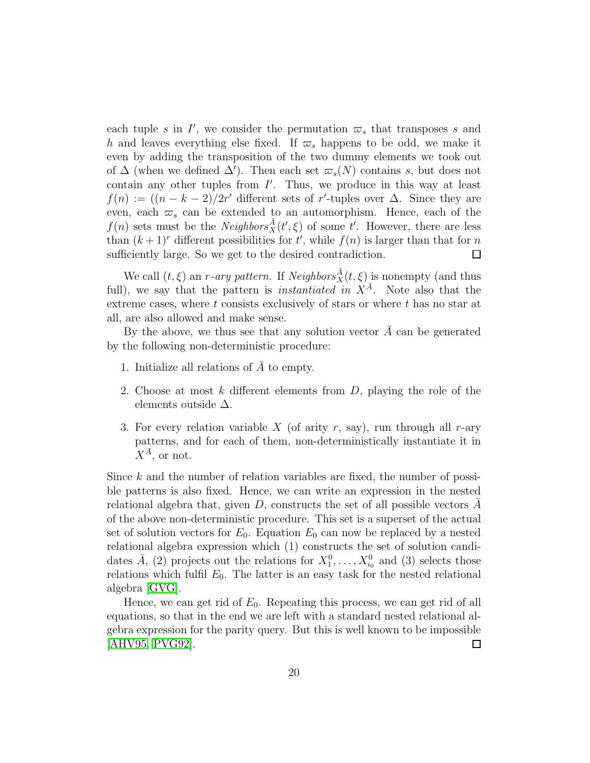each tuple s in I', we consider the permutation  $\varpi_s$  that transposes s and h and leaves everything else fixed. If  $\varpi_s$  happens to be odd, we make it even by adding the transposition of the two dummy elements we took out of  $\Delta$  (when we defined  $\Delta'$ ). Then each set  $\overline{\omega}_s(N)$  contains s, but does not contain any other tuples from  $I'$ . Thus, we produce in this way at least  $f(n) := ((n - k - 2)/2r'$  different sets of r'-tuples over  $\Delta$ . Since they are even, each  $\varpi_s$  can be extended to an automorphism. Hence, each of the  $f(n)$  sets must be the  $Neighbors_{X}^{\bar{A}}(t',\xi)$  of some t'. However, there are less than  $(k+1)^r$  different possibilities for t', while  $f(n)$  is larger than that for n sufficiently large. So we get to the desired contradiction.  $\Box$ 

We call  $(t, \xi)$  an r-ary pattern. If Neighbors $\bar{X}^{\bar{A}}(t, \xi)$  is nonempty (and thus full), we say that the pattern is *instantiated* in  $X^{\overline{A}}$ . Note also that the extreme cases, where  $t$  consists exclusively of stars or where  $t$  has no star at all, are also allowed and make sense.

By the above, we thus see that any solution vector  $\overline{A}$  can be generated by the following non-deterministic procedure:

- 1. Initialize all relations of  $A$  to empty.
- 2. Choose at most  $k$  different elements from  $D$ , playing the role of the elements outside  $\Delta$ .
- 3. For every relation variable X (of arity r, say), run through all r-ary patterns, and for each of them, non-deterministically instantiate it in  $X^{\bar{A}}$ , or not.

Since  $k$  and the number of relation variables are fixed, the number of possible patterns is also fixed. Hence, we can write an expression in the nested relational algebra that, given  $D$ , constructs the set of all possible vectors  $A$ of the above non-deterministic procedure. This set is a superset of the actual set of solution vectors for  $E_0$ . Equation  $E_0$  can now be replaced by a nested relational algebra expression which (1) constructs the set of solution candidates  $\overline{A}$ , (2) projects out the relations for  $X_1^0, \ldots, X_{i_0}^0$  and (3) selects those relations which fulfil  $E_0$ . The latter is an easy task for the nested relational algebra [\[GVG\]](#page-21-6).

Hence, we can get rid of  $E_0$ . Repeating this process, we can get rid of all equations, so that in the end we are left with a standard nested relational algebra expression for the parity query. But this is well known to be impossible [\[AHV95,](#page-20-5) [PVG92\]](#page-21-7).  $\Box$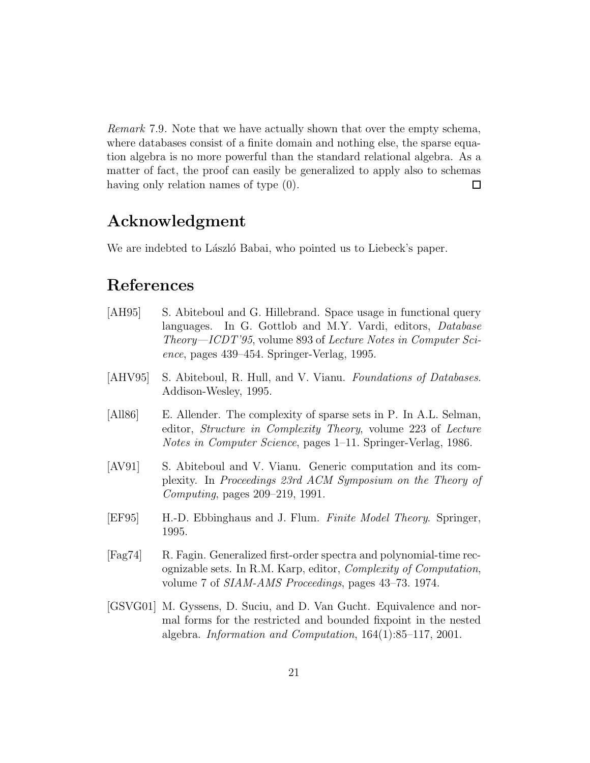Remark 7.9. Note that we have actually shown that over the empty schema, where databases consist of a finite domain and nothing else, the sparse equation algebra is no more powerful than the standard relational algebra. As a matter of fact, the proof can easily be generalized to apply also to schemas having only relation names of type (0). □

## Acknowledgment

We are indebted to László Babai, who pointed us to Liebeck's paper.

# <span id="page-20-4"></span>References

- [AH95] S. Abiteboul and G. Hillebrand. Space usage in functional query languages. In G. Gottlob and M.Y. Vardi, editors, *Database* Theory—ICDT'95, volume 893 of Lecture Notes in Computer Science, pages 439–454. Springer-Verlag, 1995.
- <span id="page-20-5"></span>[AHV95] S. Abiteboul, R. Hull, and V. Vianu. Foundations of Databases. Addison-Wesley, 1995.
- <span id="page-20-2"></span>[All86] E. Allender. The complexity of sparse sets in P. In A.L. Selman, editor, Structure in Complexity Theory, volume 223 of Lecture Notes in Computer Science, pages 1–11. Springer-Verlag, 1986.
- <span id="page-20-3"></span>[AV91] S. Abiteboul and V. Vianu. Generic computation and its complexity. In Proceedings 23rd ACM Symposium on the Theory of Computing, pages 209–219, 1991.
- <span id="page-20-1"></span>[EF95] H.-D. Ebbinghaus and J. Flum. Finite Model Theory. Springer, 1995.
- <span id="page-20-0"></span>[Fag74] R. Fagin. Generalized first-order spectra and polynomial-time recognizable sets. In R.M. Karp, editor, Complexity of Computation, volume 7 of SIAM-AMS Proceedings, pages 43–73. 1974.
- <span id="page-20-6"></span>[GSVG01] M. Gyssens, D. Suciu, and D. Van Gucht. Equivalence and normal forms for the restricted and bounded fixpoint in the nested algebra. Information and Computation, 164(1):85–117, 2001.